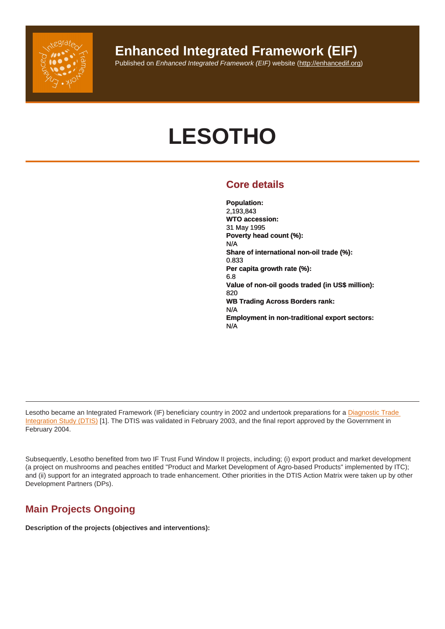

**Enhanced Integrated Framework (EIF)**

Published on Enhanced Integrated Framework (EIF) website ([http://enhancedif.org\)](http://enhancedif.org)

# **LESOTHO**

# **Core details**

**Population:**  2,193,843 **WTO accession:**  31 May 1995 **Poverty head count (%):**  N/A **Share of international non-oil trade (%):**  0.833 **Per capita growth rate (%):**  6.8 **Value of non-oil goods traded (in US\$ million):**  820 **WB Trading Across Borders rank:**  N/A **Employment in non-traditional export sectors:**  N/A

Lesotho became an Integrated Framework (IF) beneficiary country in 2002 and undertook preparations for a Diagnostic Trade [Integration Study \(DTIS\)](http://enhancedif.org/en/system/files/uploads/lesotho_dtis_20vol.1.pdf) [1]. The DTIS was validated in February 2003, and the final report approved by the Government in February 2004.

Subsequently, Lesotho benefited from two IF Trust Fund Window II projects, including; (i) export product and market development (a project on mushrooms and peaches entitled "Product and Market Development of Agro-based Products" implemented by ITC); and (ii) support for an integrated approach to trade enhancement. Other priorities in the DTIS Action Matrix were taken up by other Development Partners (DPs).

# **Main Projects Ongoing**

**Description of the projects (objectives and interventions):**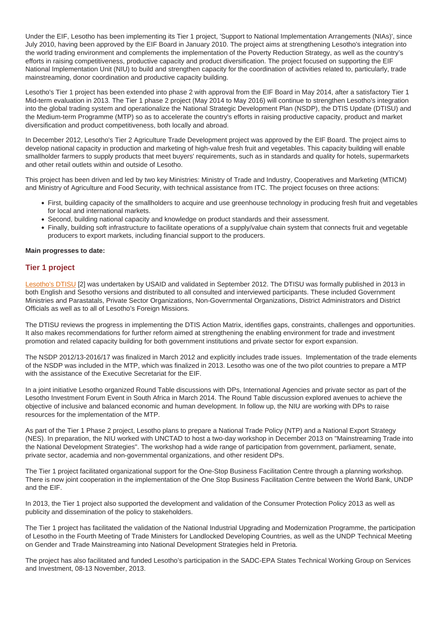Under the EIF, Lesotho has been implementing its Tier 1 project, 'Support to National Implementation Arrangements (NIAs)', since July 2010, having been approved by the EIF Board in January 2010. The project aims at strengthening Lesotho's integration into the world trading environment and complements the implementation of the Poverty Reduction Strategy, as well as the country's efforts in raising competitiveness, productive capacity and product diversification. The project focused on supporting the EIF National Implementation Unit (NIU) to build and strengthen capacity for the coordination of activities related to, particularly, trade mainstreaming, donor coordination and productive capacity building.

Lesotho's Tier 1 project has been extended into phase 2 with approval from the EIF Board in May 2014, after a satisfactory Tier 1 Mid-term evaluation in 2013. The Tier 1 phase 2 project (May 2014 to May 2016) will continue to strengthen Lesotho's integration into the global trading system and operationalize the National Strategic Development Plan (NSDP), the DTIS Update (DTISU) and the Medium-term Programme (MTP) so as to accelerate the country's efforts in raising productive capacity, product and market diversification and product competitiveness, both locally and abroad.

In December 2012, Lesotho's Tier 2 Agriculture Trade Development project was approved by the EIF Board. The project aims to develop national capacity in production and marketing of high-value fresh fruit and vegetables. This capacity building will enable smallholder farmers to supply products that meet buyers' requirements, such as in standards and quality for hotels, supermarkets and other retail outlets within and outside of Lesotho.

This project has been driven and led by two key Ministries: Ministry of Trade and Industry, Cooperatives and Marketing (MTICM) and Ministry of Agriculture and Food Security, with technical assistance from ITC. The project focuses on three actions:

- First, building capacity of the smallholders to acquire and use greenhouse technology in producing fresh fruit and vegetables for local and international markets.
- Second, building national capacity and knowledge on product standards and their assessment.
- Finally, building soft infrastructure to facilitate operations of a supply/value chain system that connects fruit and vegetable producers to export markets, including financial support to the producers.

#### **Main progresses to date:**

#### **Tier 1 project**

[Lesotho's DTISU](http://enhancedif.org/en/system/files/uploads/lesotho_dtisu_2012.pdf) [2] was undertaken by USAID and validated in September 2012. The DTISU was formally published in 2013 in both English and Sesotho versions and distributed to all consulted and interviewed participants. These included Government Ministries and Parastatals, Private Sector Organizations, Non-Governmental Organizations, District Administrators and District Officials as well as to all of Lesotho's Foreign Missions.

The DTISU reviews the progress in implementing the DTIS Action Matrix, identifies gaps, constraints, challenges and opportunities. It also makes recommendations for further reform aimed at strengthening the enabling environment for trade and investment promotion and related capacity building for both government institutions and private sector for export expansion.

The NSDP 2012/13-2016/17 was finalized in March 2012 and explicitly includes trade issues. Implementation of the trade elements of the NSDP was included in the MTP, which was finalized in 2013. Lesotho was one of the two pilot countries to prepare a MTP with the assistance of the Executive Secretariat for the EIF.

In a joint initiative Lesotho organized Round Table discussions with DPs, International Agencies and private sector as part of the Lesotho Investment Forum Event in South Africa in March 2014. The Round Table discussion explored avenues to achieve the objective of inclusive and balanced economic and human development. In follow up, the NIU are working with DPs to raise resources for the implementation of the MTP.

As part of the Tier 1 Phase 2 project, Lesotho plans to prepare a National Trade Policy (NTP) and a National Export Strategy (NES). In preparation, the NIU worked with UNCTAD to host a two-day workshop in December 2013 on "Mainstreaming Trade into the National Development Strategies". The workshop had a wide range of participation from government, parliament, senate, private sector, academia and non-governmental organizations, and other resident DPs.

The Tier 1 project facilitated organizational support for the One-Stop Business Facilitation Centre through a planning workshop. There is now joint cooperation in the implementation of the One Stop Business Facilitation Centre between the World Bank, UNDP and the EIF.

In 2013, the Tier 1 project also supported the development and validation of the Consumer Protection Policy 2013 as well as publicity and dissemination of the policy to stakeholders.

The Tier 1 project has facilitated the validation of the National Industrial Upgrading and Modernization Programme, the participation of Lesotho in the Fourth Meeting of Trade Ministers for Landlocked Developing Countries, as well as the UNDP Technical Meeting on Gender and Trade Mainstreaming into National Development Strategies held in Pretoria.

The project has also facilitated and funded Lesotho's participation in the SADC-EPA States Technical Working Group on Services and Investment, 08-13 November, 2013.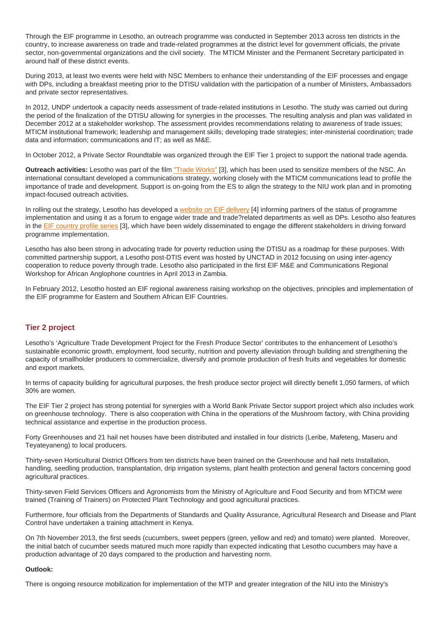Through the EIF programme in Lesotho, an outreach programme was conducted in September 2013 across ten districts in the country, to increase awareness on trade and trade-related programmes at the district level for government officials, the private sector, non-governmental organizations and the civil society. The MTICM Minister and the Permanent Secretary participated in around half of these district events.

During 2013, at least two events were held with NSC Members to enhance their understanding of the EIF processes and engage with DPs, including a breakfast meeting prior to the DTISU validation with the participation of a number of Ministers, Ambassadors and private sector representatives.

In 2012, UNDP undertook a capacity needs assessment of trade-related institutions in Lesotho. The study was carried out during the period of the finalization of the DTISU allowing for synergies in the processes. The resulting analysis and plan was validated in December 2012 at a stakeholder workshop. The assessment provides recommendations relating to awareness of trade issues; MTICM institutional framework; leadership and management skills; developing trade strategies; inter-ministerial coordination; trade data and information; communications and IT; as well as M&E.

In October 2012, a Private Sector Roundtable was organized through the EIF Tier 1 project to support the national trade agenda.

**Outreach activities:** Lesotho was part of the film ["Trade Works"](https://www.youtube.com/watch?v=24umOx4qk9E&list=FLzpIFznAzY142UXcUeFRyTg) [3], which has been used to sensitize members of the NSC. An international consultant developed a communications strategy, working closely with the MTICM communications lead to profile the importance of trade and development. Support is on-going from the ES to align the strategy to the NIU work plan and in promoting impact-focused outreach activities.

In rolling out the strategy, Lesotho has developed a [website on EIF delivery](http://www.eif.org.ls/) [4] informing partners of the status of programme implementation and using it as a forum to engage wider trade and trade?related departments as well as DPs. Lesotho also features in the [EIF country profile series](https://www.youtube.com/watch?v=24umOx4qk9E&list=FLzpIFznAzY142UXcUeFRyTg) [3], which have been widely disseminated to engage the different stakeholders in driving forward programme implementation.

Lesotho has also been strong in advocating trade for poverty reduction using the DTISU as a roadmap for these purposes. With committed partnership support, a Lesotho post-DTIS event was hosted by UNCTAD in 2012 focusing on using inter-agency cooperation to reduce poverty through trade. Lesotho also participated in the first EIF M&E and Communications Regional Workshop for African Anglophone countries in April 2013 in Zambia.

In February 2012, Lesotho hosted an EIF regional awareness raising workshop on the objectives, principles and implementation of the EIF programme for Eastern and Southern African EIF Countries.

## **Tier 2 project**

Lesotho's 'Agriculture Trade Development Project for the Fresh Produce Sector' contributes to the enhancement of Lesotho's sustainable economic growth, employment, food security, nutrition and poverty alleviation through building and strengthening the capacity of smallholder producers to commercialize, diversify and promote production of fresh fruits and vegetables for domestic and export markets.

In terms of capacity building for agricultural purposes, the fresh produce sector project will directly benefit 1,050 farmers, of which 30% are women.

The EIF Tier 2 project has strong potential for synergies with a World Bank Private Sector support project which also includes work on greenhouse technology. There is also cooperation with China in the operations of the Mushroom factory, with China providing technical assistance and expertise in the production process.

Forty Greenhouses and 21 hail net houses have been distributed and installed in four districts (Leribe, Mafeteng, Maseru and Teyateyaneng) to local producers.

Thirty-seven Horticultural District Officers from ten districts have been trained on the Greenhouse and hail nets Installation, handling, seedling production, transplantation, drip irrigation systems, plant health protection and general factors concerning good agricultural practices.

Thirty-seven Field Services Officers and Agronomists from the Ministry of Agriculture and Food Security and from MTICM were trained (Training of Trainers) on Protected Plant Technology and good agricultural practices.

Furthermore, four officials from the Departments of Standards and Quality Assurance, Agricultural Research and Disease and Plant Control have undertaken a training attachment in Kenya.

On 7th November 2013, the first seeds (cucumbers, sweet peppers (green, yellow and red) and tomato) were planted. Moreover, the initial batch of cucumber seeds matured much more rapidly than expected indicating that Lesotho cucumbers may have a production advantage of 20 days compared to the production and harvesting norm.

#### **Outlook:**

There is ongoing resource mobilization for implementation of the MTP and greater integration of the NIU into the Ministry's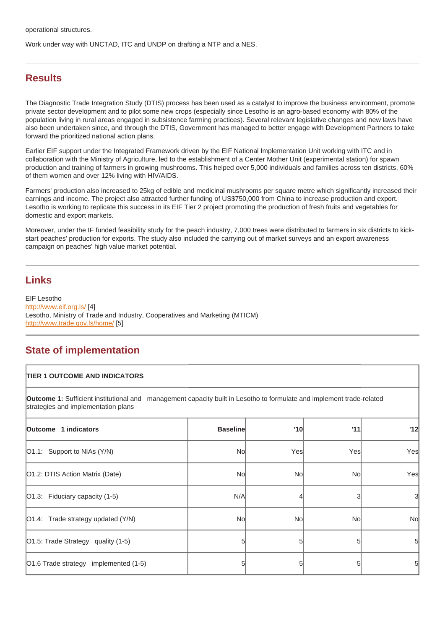Work under way with UNCTAD, ITC and UNDP on drafting a NTP and a NES.

# **Results**

The Diagnostic Trade Integration Study (DTIS) process has been used as a catalyst to improve the business environment, promote private sector development and to pilot some new crops (especially since Lesotho is an agro-based economy with 80% of the population living in rural areas engaged in subsistence farming practices). Several relevant legislative changes and new laws have also been undertaken since, and through the DTIS, Government has managed to better engage with Development Partners to take forward the prioritized national action plans.

Earlier EIF support under the Integrated Framework driven by the EIF National Implementation Unit working with ITC and in collaboration with the Ministry of Agriculture, led to the establishment of a Center Mother Unit (experimental station) for spawn production and training of farmers in growing mushrooms. This helped over 5,000 individuals and families across ten districts, 60% of them women and over 12% living with HIV/AIDS.

Farmers' production also increased to 25kg of edible and medicinal mushrooms per square metre which significantly increased their earnings and income. The project also attracted further funding of US\$750,000 from China to increase production and export. Lesotho is working to replicate this success in its EIF Tier 2 project promoting the production of fresh fruits and vegetables for domestic and export markets.

Moreover, under the IF funded feasibility study for the peach industry, 7,000 trees were distributed to farmers in six districts to kickstart peaches' production for exports. The study also included the carrying out of market surveys and an export awareness campaign on peaches' high value market potential.

## **Links**

EIF Lesotho <http://www.eif.org.ls/> [4] Lesotho, Ministry of Trade and Industry, Cooperatives and Marketing (MTICM) <http://www.trade.gov.ls/home/> [5]

# **State of implementation**

#### **TIER 1 OUTCOME AND INDICATORS**

**Outcome 1:** Sufficient institutional and management capacity built in Lesotho to formulate and implement trade-related strategies and implementation plans

| Outcome 1 indicators                       | <b>Baseline</b> | '10 | '11 | '12 |
|--------------------------------------------|-----------------|-----|-----|-----|
| O1.1: Support to NIAs (Y/N)                | No              | Yes | Yes | Yes |
| O1.2: DTIS Action Matrix (Date)            | No              | No  | No  | Yes |
| O1.3: Fiduciary capacity (1-5)             | N/A             |     |     | 3   |
| $\vert$ O1.4: Trade strategy updated (Y/N) | No              | No  | No  | No  |
| O1.5: Trade Strategy quality (1-5)         |                 |     |     | 5   |
| O1.6 Trade strategy implemented (1-5)      |                 |     |     | 5   |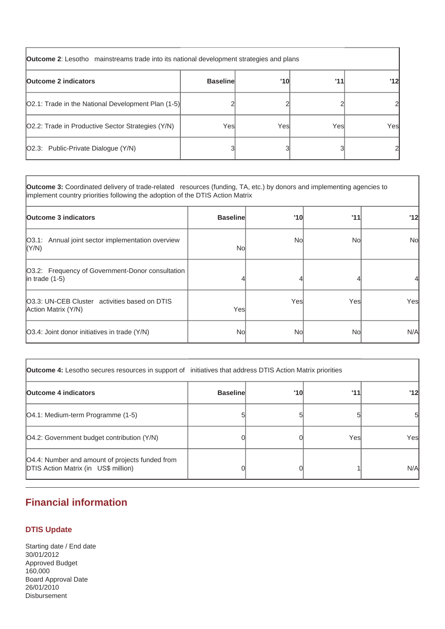| <b>Outcome 2:</b> Lesotho mainstreams trade into its national development strategies and plans |                 |      |      |                                         |
|------------------------------------------------------------------------------------------------|-----------------|------|------|-----------------------------------------|
| <b>Outcome 2 indicators</b>                                                                    | <b>Baseline</b> | '10  | '11  | $^{\prime}$ 12 $\overline{\phantom{a}}$ |
| [O2.1: Trade in the National Development Plan (1-5)]                                           |                 |      |      |                                         |
| O2.2: Trade in Productive Sector Strategies (Y/N)                                              | Yesl            | Yesl | Yesl | Yesl                                    |
| [O2.3: Public-Private Dialogue (Y/N)                                                           |                 |      |      |                                         |

**Outcome 3:** Coordinated delivery of trade-related resources (funding, TA, etc.) by donors and implementing agencies to implement country priorities following the adoption of the DTIS Action Matrix

| <b>Outcome 3 indicators</b>                                               | <b>Baseline</b> | '10  | '11  | '12       |
|---------------------------------------------------------------------------|-----------------|------|------|-----------|
| O3.1: Annual joint sector implementation overview<br>(Y/N)                | Nol             | Nol  | No   | <b>No</b> |
| [O3.2: Frequency of Government-Donor consultation<br>$ $ in trade $(1-5)$ |                 |      |      |           |
| 03.3: UN-CEB Cluster activities based on DTIS<br>Action Matrix (Y/N)      | Yesl            | Yesl | Yesl | Yes       |
| [O3.4: Joint donor initiatives in trade (Y/N)                             | Nol             | Nol  | No   | N/A       |

| <b>Outcome 4:</b> Lesotho secures resources in support of initiatives that address DTIS Action Matrix priorities |                 |     |      |      |
|------------------------------------------------------------------------------------------------------------------|-----------------|-----|------|------|
| <b>Outcome 4 indicators</b>                                                                                      | <b>Baseline</b> | '10 | '11  | '12l |
| [O4.1: Medium-term Programme (1-5)                                                                               |                 |     |      | 51   |
| [O4.2: Government budget contribution (Y/N)                                                                      |                 |     | Yesl | Yesl |
| [O4.4: Number and amount of projects funded from<br><b>DTIS Action Matrix (in US\$ million)</b>                  |                 |     |      | N/A  |

# **Financial information**

## **DTIS Update**

Starting date / End date 30/01/2012 Approved Budget 160,000 Board Approval Date 26/01/2010 Disbursement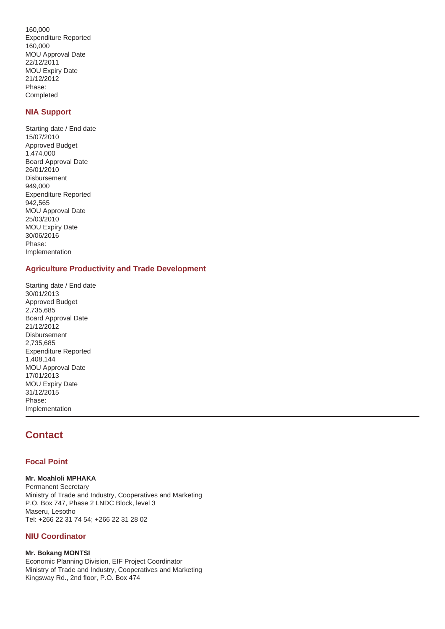160,000 Expenditure Reported 160,000 MOU Approval Date 22/12/2011 MOU Expiry Date 21/12/2012 Phase: Completed

### **NIA Support**

Starting date / End date 15/07/2010 Approved Budget 1,474,000 Board Approval Date 26/01/2010 Disbursement 949,000 Expenditure Reported 942,565 MOU Approval Date 25/03/2010 MOU Expiry Date 30/06/2016 Phase: Implementation

## **Agriculture Productivity and Trade Development**

Starting date / End date 30/01/2013 Approved Budget 2,735,685 Board Approval Date 21/12/2012 Disbursement 2,735,685 Expenditure Reported 1,408,144 MOU Approval Date 17/01/2013 MOU Expiry Date 31/12/2015 Phase: Implementation

# **Contact**

## **Focal Point**

#### **Mr. Moahloli MPHAKA**

Permanent Secretary Ministry of Trade and Industry, Cooperatives and Marketing P.O. Box 747, Phase 2 LNDC Block, level 3 Maseru, Lesotho Tel: +266 22 31 74 54; +266 22 31 28 02

#### **NIU Coordinator**

#### **Mr. Bokang MONTSI**

Economic Planning Division, EIF Project Coordinator Ministry of Trade and Industry, Cooperatives and Marketing Kingsway Rd., 2nd floor, P.O. Box 474